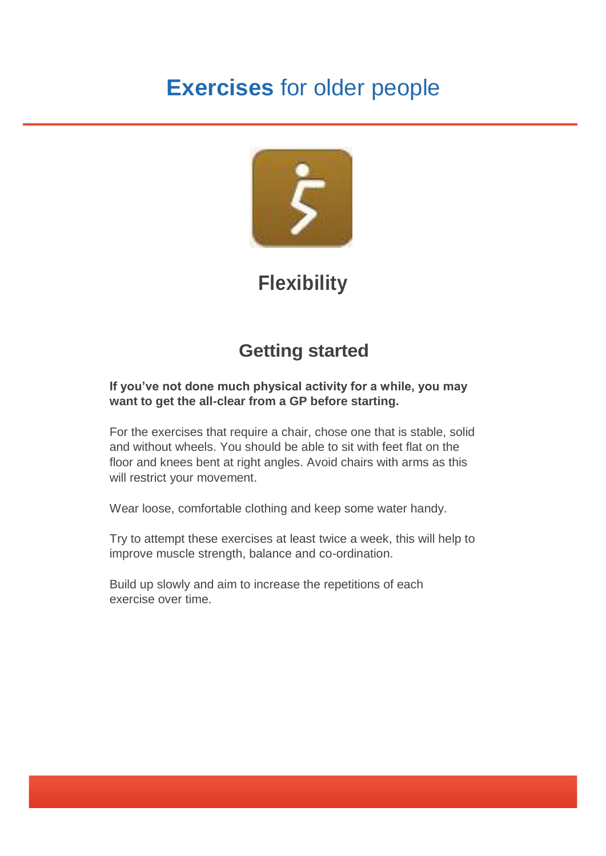# **Exercises** for older people



# **Flexibility**

## **Getting started**

#### **If you've not done much physical activity for a while, you may want to get the all-clear from a GP before starting.**

For the exercises that require a chair, chose one that is stable, solid and without wheels. You should be able to sit with feet flat on the floor and knees bent at right angles. Avoid chairs with arms as this will restrict your movement.

Wear loose, comfortable clothing and keep some water handy.

Try to attempt these exercises at least twice a week, this will help to improve muscle strength, balance and co-ordination.

Build up slowly and aim to increase the repetitions of each exercise over time.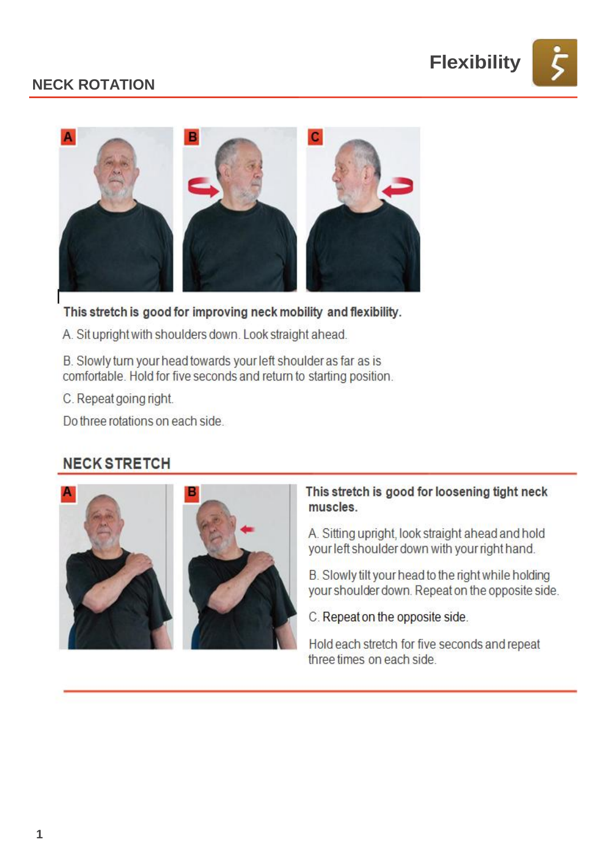

## **NECK ROTATION**



This stretch is good for improving neck mobility and flexibility.

A. Sit upright with shoulders down. Look straight ahead.

B. Slowly turn your head towards your left shoulder as far as is comfortable. Hold for five seconds and return to starting position.

C. Repeat going right.

Do three rotations on each side.

## **NECK STRETCH**





#### This stretch is good for loosening tight neck muscles.

A. Sitting upright, look straight ahead and hold your left shoulder down with your right hand.

B. Slowly tilt your head to the right while holding your shoulder down. Repeat on the opposite side.

C. Repeat on the opposite side.

Hold each stretch for five seconds and repeat three times on each side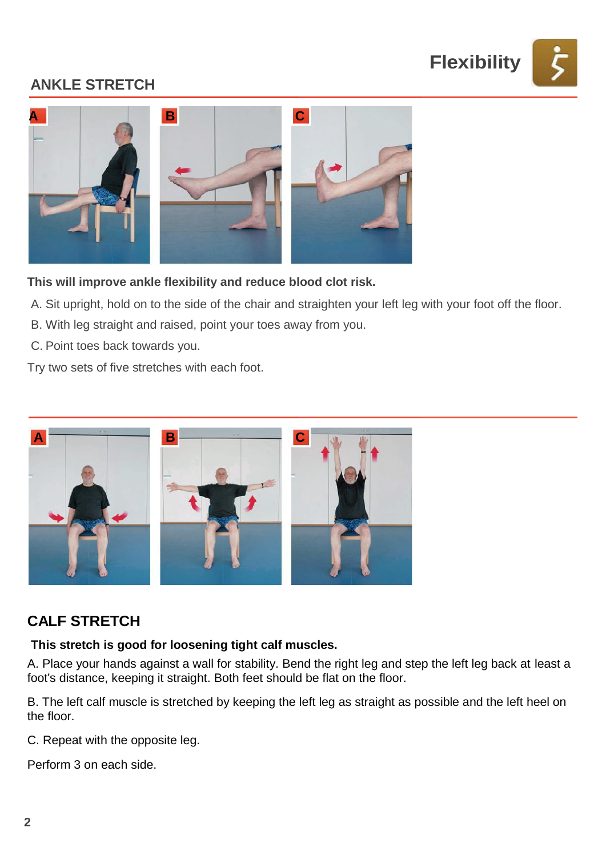

## **ANKLE STRETCH**



**This will improve ankle flexibility and reduce blood clot risk.**

- A. Sit upright, hold on to the side of the chair and straighten your left leg with your foot off the floor.
- B. With leg straight and raised, point your toes away from you.
- C. Point toes back towards you.

Try two sets of five stretches with each foot.



## **CALF STRETCH**

#### **This stretch is good for loosening tight calf muscles.**

A. Place your hands against a wall for stability. Bend the right leg and step the left leg back at least a foot's distance, keeping it straight. Both feet should be flat on the floor.

B. The left calf muscle is stretched by keeping the left leg as straight as possible and the left heel on the floor.

C. Repeat with the opposite leg.

Perform 3 on each side.